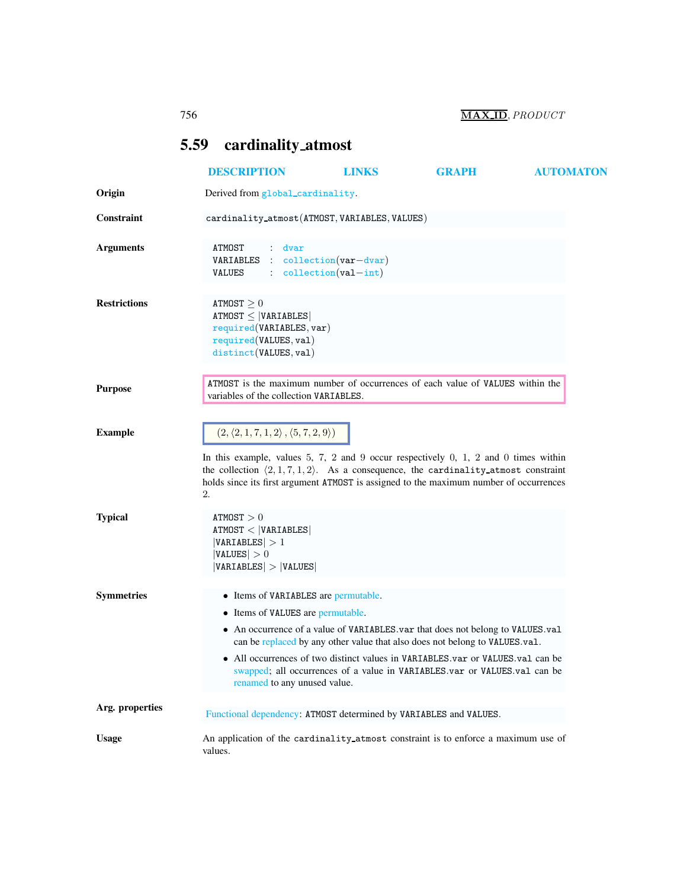# <span id="page-0-0"></span>5.59 cardinality atmost

|                     | <b>DESCRIPTION</b>                                                                                                                                                                                                                                                                                                                                               | <b>LINKS</b>            | <b>GRAPH</b>                                                                                                                                                                                                                                                                                                                 | <b>AUTOMATON</b> |
|---------------------|------------------------------------------------------------------------------------------------------------------------------------------------------------------------------------------------------------------------------------------------------------------------------------------------------------------------------------------------------------------|-------------------------|------------------------------------------------------------------------------------------------------------------------------------------------------------------------------------------------------------------------------------------------------------------------------------------------------------------------------|------------------|
| Origin              | Derived from global_cardinality.                                                                                                                                                                                                                                                                                                                                 |                         |                                                                                                                                                                                                                                                                                                                              |                  |
| Constraint          | cardinality_atmost(ATMOST, VARIABLES, VALUES)                                                                                                                                                                                                                                                                                                                    |                         |                                                                                                                                                                                                                                                                                                                              |                  |
| <b>Arguments</b>    | ATMOST<br>dvar<br>$VARIABLES : collection(var-dvar)$<br><b>VALUES</b>                                                                                                                                                                                                                                                                                            | $: collection(val-int)$ |                                                                                                                                                                                                                                                                                                                              |                  |
| <b>Restrictions</b> | ATMOST $\geq 0$<br>$ATMOST \leq  VARIABLES $<br>required(VARIABLES, var)<br>required(VALUES, val)<br>distinct(VALUES, val)                                                                                                                                                                                                                                       |                         |                                                                                                                                                                                                                                                                                                                              |                  |
| <b>Purpose</b>      | ATMOST is the maximum number of occurrences of each value of VALUES within the<br>variables of the collection VARIABLES.                                                                                                                                                                                                                                         |                         |                                                                                                                                                                                                                                                                                                                              |                  |
| <b>Example</b>      | $(2, \langle 2, 1, 7, 1, 2 \rangle, \langle 5, 7, 2, 9 \rangle)$<br>In this example, values 5, 7, 2 and 9 occur respectively 0, 1, 2 and 0 times within<br>the collection $\langle 2, 1, 7, 1, 2 \rangle$ . As a consequence, the cardinality at most constraint<br>holds since its first argument ATMOST is assigned to the maximum number of occurrences<br>2. |                         |                                                                                                                                                                                                                                                                                                                              |                  |
| <b>Typical</b>      | ATMOST > 0<br>ATMOST <  VARIABLES <br> VARIABLES  > 1<br> VALUES  > 0<br> VARIABLES  >  VALUES                                                                                                                                                                                                                                                                   |                         |                                                                                                                                                                                                                                                                                                                              |                  |
| <b>Symmetries</b>   | • Items of VARIABLES are permutable.<br>• Items of VALUES are permutable.<br>renamed to any unused value.                                                                                                                                                                                                                                                        |                         | • An occurrence of a value of VARIABLES.var that does not belong to VALUES.val<br>can be replaced by any other value that also does not belong to VALUES.val.<br>• All occurrences of two distinct values in VARIABLES.var or VALUES.val can be<br>swapped; all occurrences of a value in VARIABLES.var or VALUES.val can be |                  |
| Arg. properties     | Functional dependency: ATMOST determined by VARIABLES and VALUES.                                                                                                                                                                                                                                                                                                |                         |                                                                                                                                                                                                                                                                                                                              |                  |
| <b>Usage</b>        | An application of the cardinality_atmost constraint is to enforce a maximum use of<br>values.                                                                                                                                                                                                                                                                    |                         |                                                                                                                                                                                                                                                                                                                              |                  |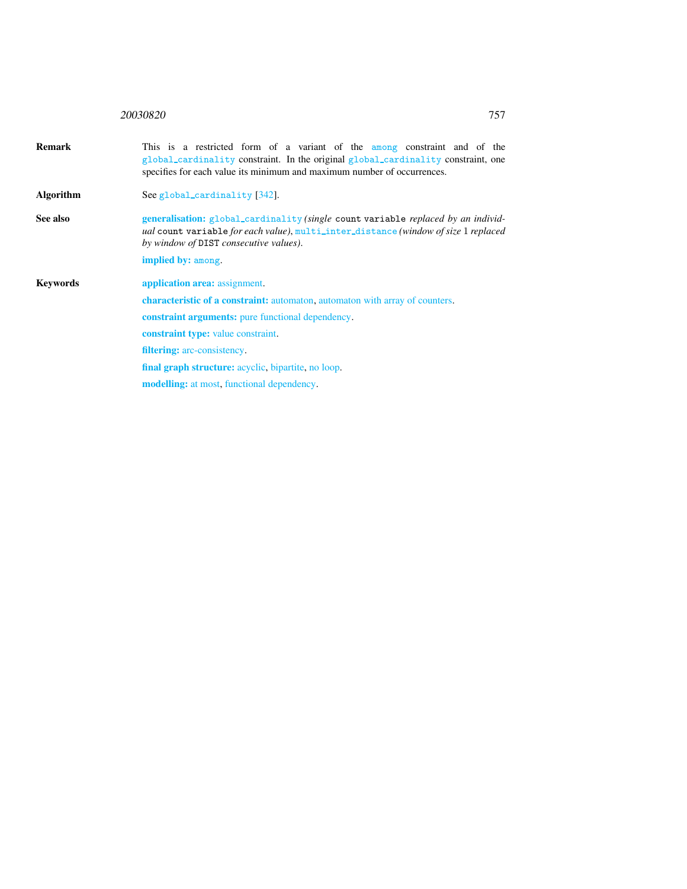## <sup>20030820</sup> 757

<span id="page-1-0"></span>

| <b>Remark</b>    | This is a restricted form of a variant of the among constraint and of the<br>global_cardinality constraint. In the original global_cardinality constraint, one<br>specifies for each value its minimum and maximum number of occurrences. |  |  |  |
|------------------|-------------------------------------------------------------------------------------------------------------------------------------------------------------------------------------------------------------------------------------------|--|--|--|
| <b>Algorithm</b> | See global_cardinality [342].                                                                                                                                                                                                             |  |  |  |
| See also         | <b>generalisation:</b> global_cardinality (single count variable replaced by an individ-<br>ual count variable for each value), multi_inter_distance (window of size 1 replaced<br>by window of DIST consecutive values).                 |  |  |  |
|                  | <b>implied by: among.</b>                                                                                                                                                                                                                 |  |  |  |
| <b>Keywords</b>  | application area: assignment.                                                                                                                                                                                                             |  |  |  |
|                  | <b>characteristic of a constraint:</b> automaton, automaton with array of counters.                                                                                                                                                       |  |  |  |
|                  | constraint arguments: pure functional dependency.                                                                                                                                                                                         |  |  |  |
|                  | <b>constraint type:</b> value constraint.                                                                                                                                                                                                 |  |  |  |
|                  | <b>filtering:</b> arc-consistency.                                                                                                                                                                                                        |  |  |  |
|                  | <b>final graph structure:</b> acyclic, bipartite, no loop.                                                                                                                                                                                |  |  |  |
|                  | <b>modelling:</b> at most, functional dependency.                                                                                                                                                                                         |  |  |  |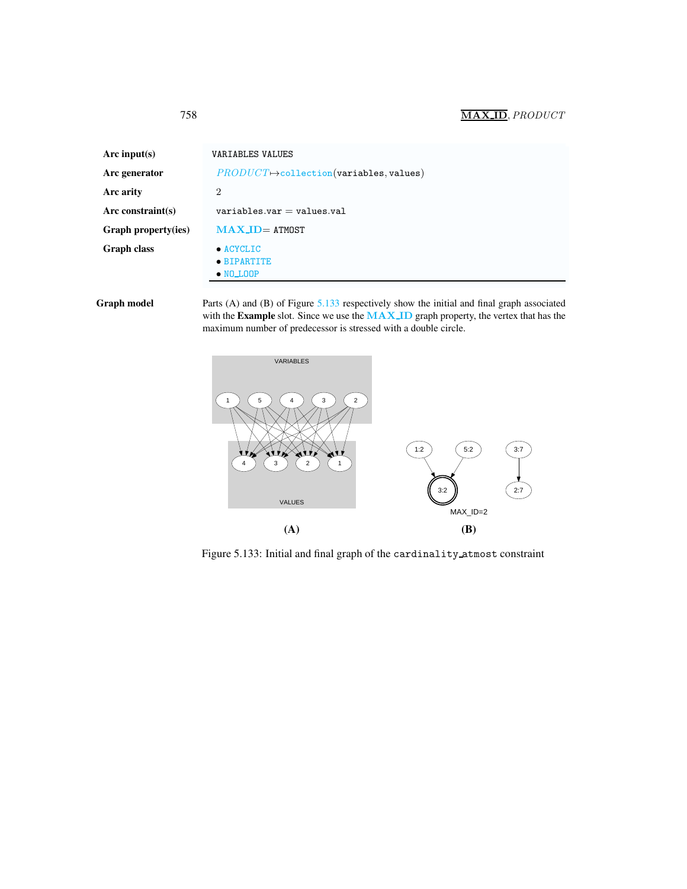# <span id="page-2-0"></span>758 MAX ID,PRODUCT

| Arc input(s)               | <b>VARIABLES VALUES</b>                               |  |
|----------------------------|-------------------------------------------------------|--|
| Arc generator              | $PRODUCT \rightarrow collection(variables, values)$   |  |
| Arc arity                  | 2                                                     |  |
| Arc constraint(s)          | $variable s.var = values.val$                         |  |
| <b>Graph property(ies)</b> | $MAX.ID = ATMOST$                                     |  |
| <b>Graph class</b>         | $\bullet$ ACYCLIC<br>• BIPARTITE<br>$\bullet$ NO LOOP |  |

Graph model Parts (A) and (B) of Figure [5.133](#page-2-1) respectively show the initial and final graph associated with the Example slot. Since we use the MAX ID graph property, the vertex that has the maximum number of predecessor is stressed with a double circle.



<span id="page-2-1"></span>Figure 5.133: Initial and final graph of the cardinality atmost constraint